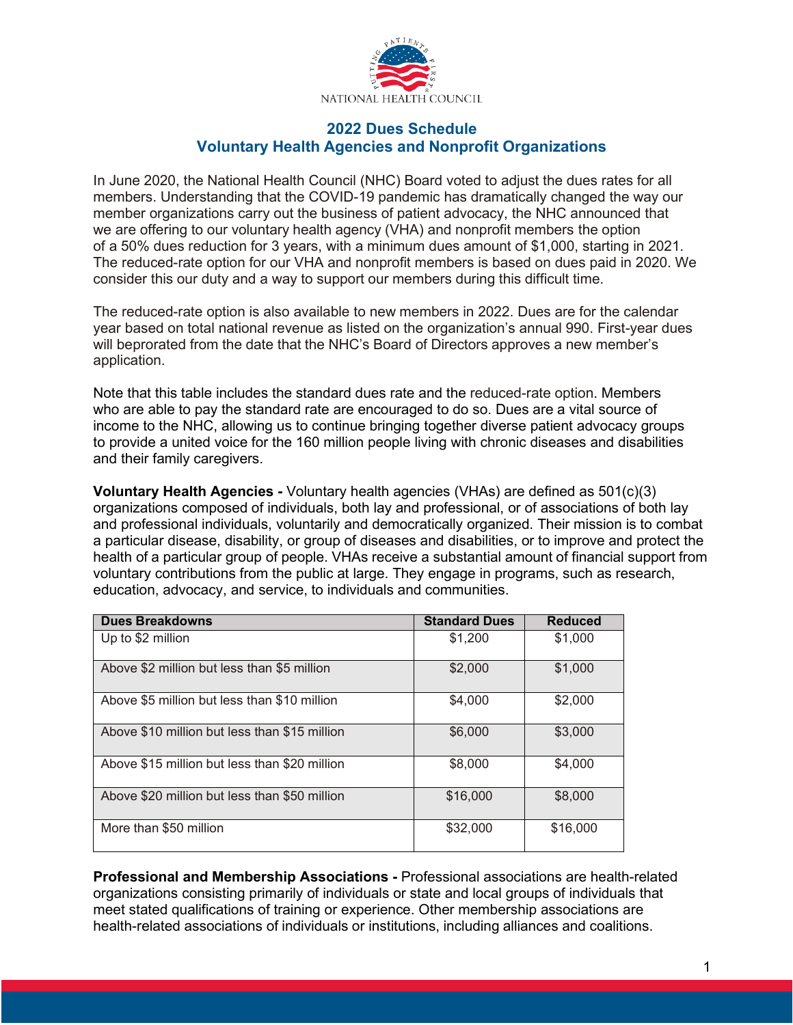

## **2022 Dues Schedule Voluntary Health Agencies and Nonprofit Organizations**

In June 2020, the National Health Council (NHC) Board voted to adjust the dues rates for all members. Understanding that the COVID-19 pandemic has dramatically changed the way our member organizations carry out the business of patient advocacy, the NHC announced that we are offering to our voluntary health agency (VHA) and nonprofit members the option of a 50% dues reduction for 3 years, with a minimum dues amount of \$1,000, starting in 2021. The reduced-rate option for our VHA and nonprofit members is based on dues paid in 2020. We consider this our duty and a way to support our members during this difficult time.

The reduced-rate option is also available to new members in 2022. Dues are for the calendar year based on total national revenue as listed on the organization's annual 990. First-year dues will beprorated from the date that the NHC's Board of Directors approves a new member's application.

Note that this table includes the standard dues rate and the reduced-rate option. Members who are able to pay the standard rate are encouraged to do so. Dues are a vital source of income to the NHC, allowing us to continue bringing together diverse patient advocacy groups to provide a united voice for the 160 million people living with chronic diseases and disabilities and their family caregivers.

**Voluntary Health Agencies -** Voluntary health agencies (VHAs) are defined as 501(c)(3) organizations composed of individuals, both lay and professional, or of associations of both lay and professional individuals, voluntarily and democratically organized. Their mission is to combat a particular disease, disability, or group of diseases and disabilities, or to improve and protect the health of a particular group of people. VHAs receive a substantial amount of financial support from voluntary contributions from the public at large. They engage in programs, such as research, education, advocacy, and service, to individuals and communities.

| <b>Dues Breakdowns</b>                        | <b>Standard Dues</b> | <b>Reduced</b> |
|-----------------------------------------------|----------------------|----------------|
| Up to \$2 million                             | \$1,200              | \$1,000        |
| Above \$2 million but less than \$5 million   | \$2,000              | \$1,000        |
| Above \$5 million but less than \$10 million  | \$4,000              | \$2,000        |
| Above \$10 million but less than \$15 million | \$6,000              | \$3,000        |
| Above \$15 million but less than \$20 million | \$8,000              | \$4,000        |
| Above \$20 million but less than \$50 million | \$16,000             | \$8,000        |
| More than \$50 million                        | \$32,000             | \$16,000       |

**Professional and Membership Associations -** Professional associations are health-related organizations consisting primarily of individuals or state and local groups of individuals that meet stated qualifications of training or experience. Other membership associations are health-related associations of individuals or institutions, including alliances and coalitions.